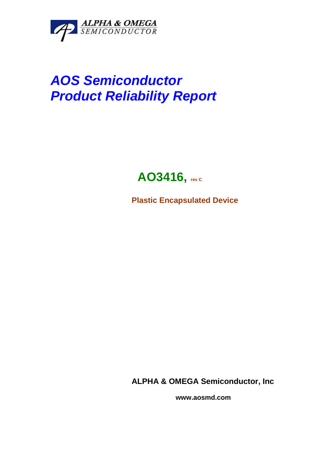

# **AOS Semiconductor Product Reliability Report**

# AO3416, **rev C**

**Plastic Encapsulated Device** 

**ALPHA & OMEGA Semiconductor, Inc** 

 **www.aosmd.com**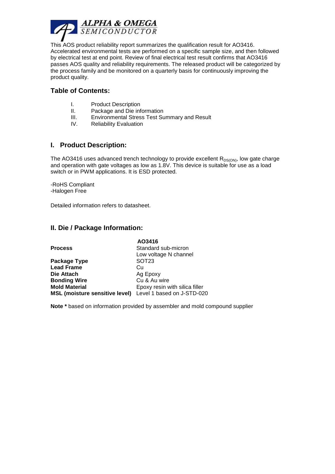

This AOS product reliability report summarizes the qualification result for AO3416. Accelerated environmental tests are performed on a specific sample size, and then followed by electrical test at end point. Review of final electrical test result confirms that AO3416 passes AOS quality and reliability requirements. The released product will be categorized by the process family and be monitored on a quarterly basis for continuously improving the product quality.

# **Table of Contents:**

- I. Product Description
- II. Package and Die information
- III. Environmental Stress Test Summary and Result
- IV. Reliability Evaluation

#### **I. Product Description:**

The AO3416 uses advanced trench technology to provide excellent  $R_{DS(ON)}$ , low gate charge and operation with gate voltages as low as 1.8V. This device is suitable for use as a load switch or in PWM applications. It is ESD protected.

-RoHS Compliant -Halogen Free

Detailed information refers to datasheet.

#### **II. Die / Package Information:**

|                                                           | AO3416                         |  |  |  |  |
|-----------------------------------------------------------|--------------------------------|--|--|--|--|
| <b>Process</b>                                            | Standard sub-micron            |  |  |  |  |
|                                                           | Low voltage N channel          |  |  |  |  |
| Package Type                                              | SOT <sub>23</sub>              |  |  |  |  |
| <b>Lead Frame</b>                                         | Cu                             |  |  |  |  |
| Die Attach                                                | Ag Epoxy                       |  |  |  |  |
| <b>Bonding Wire</b>                                       | Cu & Au wire                   |  |  |  |  |
| <b>Mold Material</b>                                      | Epoxy resin with silica filler |  |  |  |  |
| MSL (moisture sensitive level) Level 1 based on J-STD-020 |                                |  |  |  |  |

**Note \*** based on information provided by assembler and mold compound supplier